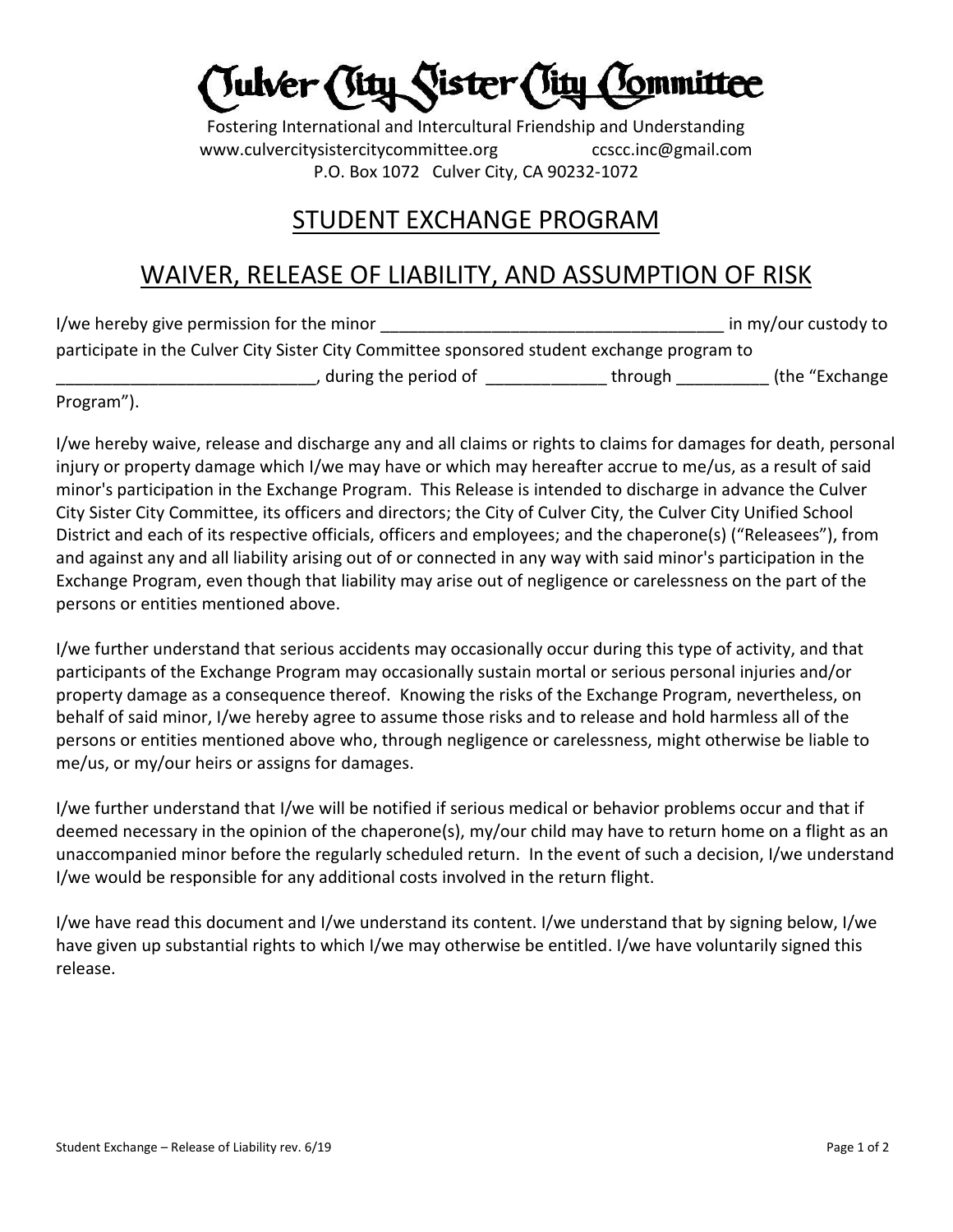Julver (Sity Sister (Tity

Fostering International and Intercultural Friendship and Understanding www.culvercitysistercitycommittee.org ccscc.inc@gmail.com P.O. Box 1072 Culver City, CA 90232-1072

## STUDENT EXCHANGE PROGRAM

## WAIVER, RELEASE OF LIABILITY, AND ASSUMPTION OF RISK

| I/we hereby give permission for the minor                                                  |         | in my/our custody to |
|--------------------------------------------------------------------------------------------|---------|----------------------|
| participate in the Culver City Sister City Committee sponsored student exchange program to |         |                      |
| , during the period of                                                                     | through | (the "Exchange       |

Program").

I/we hereby waive, release and discharge any and all claims or rights to claims for damages for death, personal injury or property damage which I/we may have or which may hereafter accrue to me/us, as a result of said minor's participation in the Exchange Program. This Release is intended to discharge in advance the Culver City Sister City Committee, its officers and directors; the City of Culver City, the Culver City Unified School District and each of its respective officials, officers and employees; and the chaperone(s) ("Releasees"), from and against any and all liability arising out of or connected in any way with said minor's participation in the Exchange Program, even though that liability may arise out of negligence or carelessness on the part of the persons or entities mentioned above.

I/we further understand that serious accidents may occasionally occur during this type of activity, and that participants of the Exchange Program may occasionally sustain mortal or serious personal injuries and/or property damage as a consequence thereof. Knowing the risks of the Exchange Program, nevertheless, on behalf of said minor, I/we hereby agree to assume those risks and to release and hold harmless all of the persons or entities mentioned above who, through negligence or carelessness, might otherwise be liable to me/us, or my/our heirs or assigns for damages.

I/we further understand that I/we will be notified if serious medical or behavior problems occur and that if deemed necessary in the opinion of the chaperone(s), my/our child may have to return home on a flight as an unaccompanied minor before the regularly scheduled return. In the event of such a decision, I/we understand I/we would be responsible for any additional costs involved in the return flight.

I/we have read this document and I/we understand its content. I/we understand that by signing below, I/we have given up substantial rights to which I/we may otherwise be entitled. I/we have voluntarily signed this release.